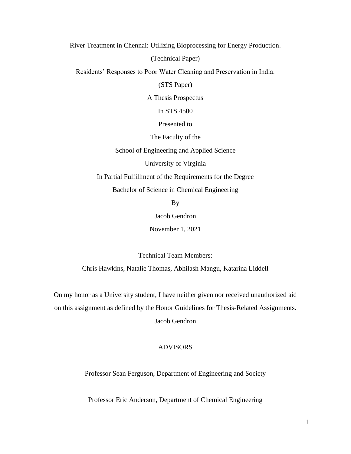River Treatment in Chennai: Utilizing Bioprocessing for Energy Production.

(Technical Paper)

Residents' Responses to Poor Water Cleaning and Preservation in India.

(STS Paper)

A Thesis Prospectus

In STS 4500

Presented to

The Faculty of the

School of Engineering and Applied Science

University of Virginia

In Partial Fulfillment of the Requirements for the Degree

Bachelor of Science in Chemical Engineering

By

Jacob Gendron

November 1, 2021

Technical Team Members:

Chris Hawkins, Natalie Thomas, Abhilash Mangu, Katarina Liddell

On my honor as a University student, I have neither given nor received unauthorized aid on this assignment as defined by the Honor Guidelines for Thesis-Related Assignments.

Jacob Gendron

# ADVISORS

Professor Sean Ferguson, Department of Engineering and Society

Professor Eric Anderson, Department of Chemical Engineering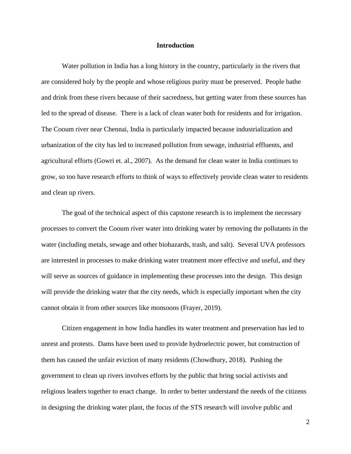#### **Introduction**

Water pollution in India has a long history in the country, particularly in the rivers that are considered holy by the people and whose religious purity must be preserved. People bathe and drink from these rivers because of their sacredness, but getting water from these sources has led to the spread of disease. There is a lack of clean water both for residents and for irrigation. The Cooum river near Chennai, India is particularly impacted because industrialization and urbanization of the city has led to increased pollution from sewage, industrial effluents, and agricultural efforts (Gowri et. al., 2007). As the demand for clean water in India continues to grow, so too have research efforts to think of ways to effectively provide clean water to residents and clean up rivers.

The goal of the technical aspect of this capstone research is to implement the necessary processes to convert the Cooum river water into drinking water by removing the pollutants in the water (including metals, sewage and other biohazards, trash, and salt). Several UVA professors are interested in processes to make drinking water treatment more effective and useful, and they will serve as sources of guidance in implementing these processes into the design. This design will provide the drinking water that the city needs, which is especially important when the city cannot obtain it from other sources like monsoons (Frayer, 2019).

Citizen engagement in how India handles its water treatment and preservation has led to unrest and protests. Dams have been used to provide hydroelectric power, but construction of them has caused the unfair eviction of many residents (Chowdhury, 2018). Pushing the government to clean up rivers involves efforts by the public that bring social activists and religious leaders together to enact change. In order to better understand the needs of the citizens in designing the drinking water plant, the focus of the STS research will involve public and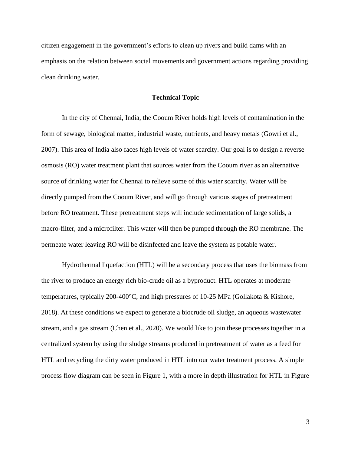citizen engagement in the government's efforts to clean up rivers and build dams with an emphasis on the relation between social movements and government actions regarding providing clean drinking water.

## **Technical Topic**

In the city of Chennai, India, the Cooum River holds high levels of contamination in the form of sewage, biological matter, industrial waste, nutrients, and heavy metals (Gowri et al., 2007). This area of India also faces high levels of water scarcity. Our goal is to design a reverse osmosis (RO) water treatment plant that sources water from the Cooum river as an alternative source of drinking water for Chennai to relieve some of this water scarcity. Water will be directly pumped from the Cooum River, and will go through various stages of pretreatment before RO treatment. These pretreatment steps will include sedimentation of large solids, a macro-filter, and a microfilter. This water will then be pumped through the RO membrane. The permeate water leaving RO will be disinfected and leave the system as potable water.

Hydrothermal liquefaction (HTL) will be a secondary process that uses the biomass from the river to produce an energy rich bio-crude oil as a byproduct. HTL operates at moderate temperatures, typically 200-400°C, and high pressures of 10-25 MPa (Gollakota & Kishore, 2018). At these conditions we expect to generate a biocrude oil sludge, an aqueous wastewater stream, and a gas stream (Chen et al., 2020). We would like to join these processes together in a centralized system by using the sludge streams produced in pretreatment of water as a feed for HTL and recycling the dirty water produced in HTL into our water treatment process. A simple process flow diagram can be seen in Figure 1, with a more in depth illustration for HTL in Figure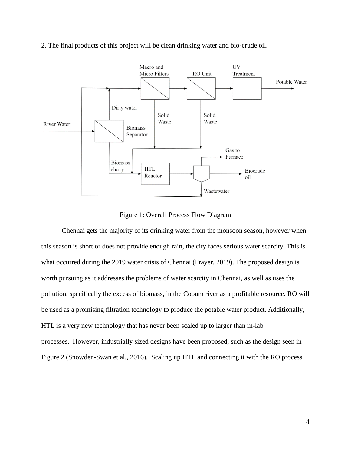

2. The final products of this project will be clean drinking water and bio-crude oil.

Figure 1: Overall Process Flow Diagram

Chennai gets the majority of its drinking water from the monsoon season, however when this season is short or does not provide enough rain, the city faces serious water scarcity. This is what occurred during the 2019 water crisis of Chennai (Frayer, 2019). The proposed design is worth pursuing as it addresses the problems of water scarcity in Chennai, as well as uses the pollution, specifically the excess of biomass, in the Cooum river as a profitable resource. RO will be used as a promising filtration technology to produce the potable water product. Additionally, HTL is a very new technology that has never been scaled up to larger than in-lab processes. However, industrially sized designs have been proposed, such as the design seen in Figure 2 (Snowden-Swan et al., 2016). Scaling up HTL and connecting it with the RO process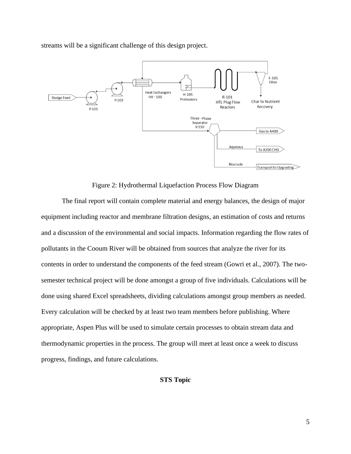streams will be a significant challenge of this design project.



Figure 2: Hydrothermal Liquefaction Process Flow Diagram

The final report will contain complete material and energy balances, the design of major equipment including reactor and membrane filtration designs, an estimation of costs and returns and a discussion of the environmental and social impacts. Information regarding the flow rates of pollutants in the Cooum River will be obtained from sources that analyze the river for its contents in order to understand the components of the feed stream (Gowri et al., 2007). The twosemester technical project will be done amongst a group of five individuals. Calculations will be done using shared Excel spreadsheets, dividing calculations amongst group members as needed. Every calculation will be checked by at least two team members before publishing. Where appropriate, Aspen Plus will be used to simulate certain processes to obtain stream data and thermodynamic properties in the process. The group will meet at least once a week to discuss progress, findings, and future calculations.

**STS Topic**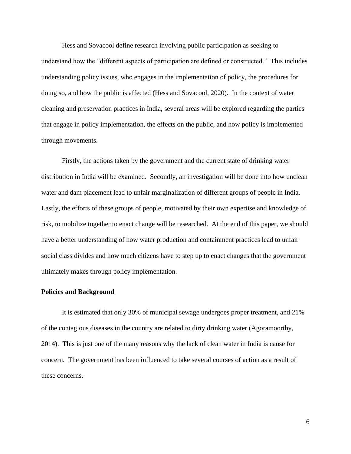Hess and Sovacool define research involving public participation as seeking to understand how the "different aspects of participation are defined or constructed." This includes understanding policy issues, who engages in the implementation of policy, the procedures for doing so, and how the public is affected (Hess and Sovacool, 2020). In the context of water cleaning and preservation practices in India, several areas will be explored regarding the parties that engage in policy implementation, the effects on the public, and how policy is implemented through movements.

Firstly, the actions taken by the government and the current state of drinking water distribution in India will be examined. Secondly, an investigation will be done into how unclean water and dam placement lead to unfair marginalization of different groups of people in India. Lastly, the efforts of these groups of people, motivated by their own expertise and knowledge of risk, to mobilize together to enact change will be researched. At the end of this paper, we should have a better understanding of how water production and containment practices lead to unfair social class divides and how much citizens have to step up to enact changes that the government ultimately makes through policy implementation.

#### **Policies and Background**

It is estimated that only 30% of municipal sewage undergoes proper treatment, and 21% of the contagious diseases in the country are related to dirty drinking water (Agoramoorthy, 2014). This is just one of the many reasons why the lack of clean water in India is cause for concern. The government has been influenced to take several courses of action as a result of these concerns.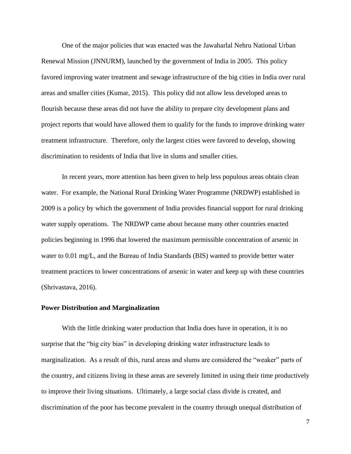One of the major policies that was enacted was the Jawaharlal Nehru National Urban Renewal Mission (JNNURM), launched by the government of India in 2005. This policy favored improving water treatment and sewage infrastructure of the big cities in India over rural areas and smaller cities (Kumar, 2015). This policy did not allow less developed areas to flourish because these areas did not have the ability to prepare city development plans and project reports that would have allowed them to qualify for the funds to improve drinking water treatment infrastructure. Therefore, only the largest cities were favored to develop, showing discrimination to residents of India that live in slums and smaller cities.

In recent years, more attention has been given to help less populous areas obtain clean water. For example, the National Rural Drinking Water Programme (NRDWP) established in 2009 is a policy by which the government of India provides financial support for rural drinking water supply operations. The NRDWP came about because many other countries enacted policies beginning in 1996 that lowered the maximum permissible concentration of arsenic in water to 0.01 mg/L, and the Bureau of India Standards (BIS) wanted to provide better water treatment practices to lower concentrations of arsenic in water and keep up with these countries (Shrivastava, 2016).

## **Power Distribution and Marginalization**

With the little drinking water production that India does have in operation, it is no surprise that the "big city bias" in developing drinking water infrastructure leads to marginalization. As a result of this, rural areas and slums are considered the "weaker" parts of the country, and citizens living in these areas are severely limited in using their time productively to improve their living situations. Ultimately, a large social class divide is created, and discrimination of the poor has become prevalent in the country through unequal distribution of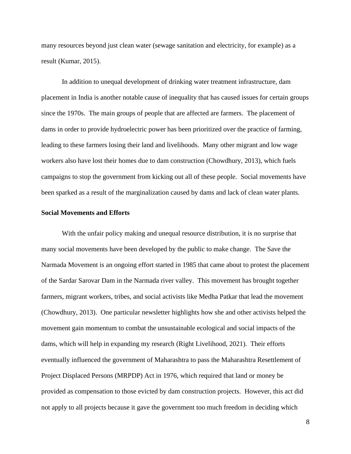many resources beyond just clean water (sewage sanitation and electricity, for example) as a result (Kumar, 2015).

In addition to unequal development of drinking water treatment infrastructure, dam placement in India is another notable cause of inequality that has caused issues for certain groups since the 1970s. The main groups of people that are affected are farmers. The placement of dams in order to provide hydroelectric power has been prioritized over the practice of farming, leading to these farmers losing their land and livelihoods. Many other migrant and low wage workers also have lost their homes due to dam construction (Chowdhury, 2013), which fuels campaigns to stop the government from kicking out all of these people. Social movements have been sparked as a result of the marginalization caused by dams and lack of clean water plants.

## **Social Movements and Efforts**

With the unfair policy making and unequal resource distribution, it is no surprise that many social movements have been developed by the public to make change. The Save the Narmada Movement is an ongoing effort started in 1985 that came about to protest the placement of the Sardar Sarovar Dam in the Narmada river valley. This movement has brought together farmers, migrant workers, tribes, and social activists like Medha Patkar that lead the movement (Chowdhury, 2013). One particular newsletter highlights how she and other activists helped the movement gain momentum to combat the unsustainable ecological and social impacts of the dams, which will help in expanding my research (Right Livelihood, 2021). Their efforts eventually influenced the government of Maharashtra to pass the Maharashtra Resettlement of Project Displaced Persons (MRPDP) Act in 1976, which required that land or money be provided as compensation to those evicted by dam construction projects. However, this act did not apply to all projects because it gave the government too much freedom in deciding which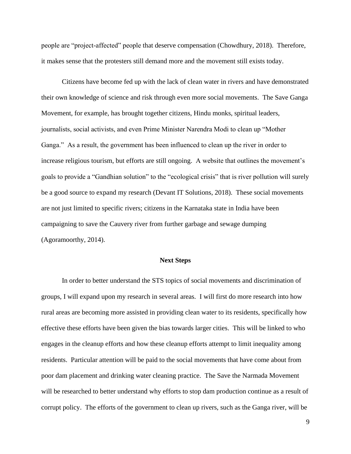people are "project-affected" people that deserve compensation (Chowdhury, 2018). Therefore, it makes sense that the protesters still demand more and the movement still exists today.

Citizens have become fed up with the lack of clean water in rivers and have demonstrated their own knowledge of science and risk through even more social movements. The Save Ganga Movement, for example, has brought together citizens, Hindu monks, spiritual leaders, journalists, social activists, and even Prime Minister Narendra Modi to clean up "Mother Ganga." As a result, the government has been influenced to clean up the river in order to increase religious tourism, but efforts are still ongoing. A website that outlines the movement's goals to provide a "Gandhian solution" to the "ecological crisis" that is river pollution will surely be a good source to expand my research (Devant IT Solutions, 2018). These social movements are not just limited to specific rivers; citizens in the Karnataka state in India have been campaigning to save the Cauvery river from further garbage and sewage dumping (Agoramoorthy, 2014).

#### **Next Steps**

In order to better understand the STS topics of social movements and discrimination of groups, I will expand upon my research in several areas. I will first do more research into how rural areas are becoming more assisted in providing clean water to its residents, specifically how effective these efforts have been given the bias towards larger cities. This will be linked to who engages in the cleanup efforts and how these cleanup efforts attempt to limit inequality among residents. Particular attention will be paid to the social movements that have come about from poor dam placement and drinking water cleaning practice. The Save the Narmada Movement will be researched to better understand why efforts to stop dam production continue as a result of corrupt policy. The efforts of the government to clean up rivers, such as the Ganga river, will be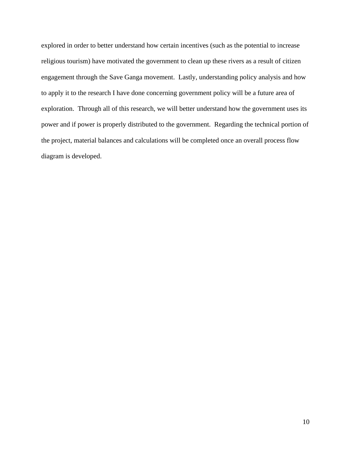explored in order to better understand how certain incentives (such as the potential to increase religious tourism) have motivated the government to clean up these rivers as a result of citizen engagement through the Save Ganga movement. Lastly, understanding policy analysis and how to apply it to the research I have done concerning government policy will be a future area of exploration. Through all of this research, we will better understand how the government uses its power and if power is properly distributed to the government. Regarding the technical portion of the project, material balances and calculations will be completed once an overall process flow diagram is developed.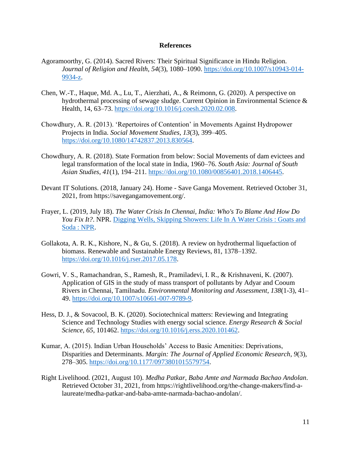## **References**

- Agoramoorthy, G. (2014). Sacred Rivers: Their Spiritual Significance in Hindu Religion. *Journal of Religion and Health*, *54*(3), 1080–1090. [https://doi.org/10.1007/s10943-014-](https://doi.org/10.1007/s10943-014-9934-z) [9934-z.](https://doi.org/10.1007/s10943-014-9934-z)
- Chen, W.-T., Haque, Md. A., Lu, T., Aierzhati, A., & Reimonn, G. (2020). A perspective on hydrothermal processing of sewage sludge. Current Opinion in Environmental Science & Health, 14, 63–73. [https://doi.org/10.1016/j.coesh.2020.02.008.](https://doi.org/10.1016/j.coesh.2020.02.008)
- Chowdhury, A. R. (2013). 'Repertoires of Contention' in Movements Against Hydropower Projects in India. *Social Movement Studies*, *13*(3), 399–405. [https://doi.org/10.1080/14742837.2013.830564.](https://doi.org/10.1080/14742837.2013.830564)
- Chowdhury, A. R. (2018). State Formation from below: Social Movements of dam evictees and legal transformation of the local state in India, 1960–76. *South Asia: Journal of South Asian Studies*, *41*(1), 194–211. [https://doi.org/10.1080/00856401.2018.1406445.](https://doi.org/10.1080/00856401.2018.1406445)
- Devant IT Solutions. (2018, January 24). Home Save Ganga Movement. Retrieved October 31, 2021, from https://savegangamovement.org/.
- Frayer, L. (2019, July 18). *The Water Crisis In Chennai, India: Who's To Blame And How Do You Fix It?*. NPR. [Digging Wells, Skipping Showers: Life In A Water Crisis : Goats and](https://www.npr.org/sections/goatsandsoda/2019/07/18/742688141/the-water-crisis-in-chennai-whos-to-blame-how-do-you-fix-it)  [Soda : NPR.](https://www.npr.org/sections/goatsandsoda/2019/07/18/742688141/the-water-crisis-in-chennai-whos-to-blame-how-do-you-fix-it)
- Gollakota, A. R. K., Kishore, N., & Gu, S. (2018). A review on hydrothermal liquefaction of biomass. Renewable and Sustainable Energy Reviews, 81, 1378–1392. [https://doi.org/10.1016/j.rser.2017.05.178.](https://doi.org/10.1016/j.rser.2017.05.178)
- Gowri, V. S., Ramachandran, S., Ramesh, R., Pramiladevi, I. R., & Krishnaveni, K. (2007). Application of GIS in the study of mass transport of pollutants by Adyar and Cooum Rivers in Chennai, Tamilnadu. *Environmental Monitoring and Assessment*, *138*(1-3), 41– 49. [https://doi.org/10.1007/s10661-007-9789-9.](https://doi.org/10.1007/s10661-007-9789-9)
- Hess, D. J., & Sovacool, B. K. (2020). Sociotechnical matters: Reviewing and Integrating Science and Technology Studies with energy social science. *Energy Research & Social Science*, *65*, 101462. [https://doi.org/10.1016/j.erss.2020.101462.](https://doi.org/10.1016/j.erss.2020.101462)
- Kumar, A. (2015). Indian Urban Households' Access to Basic Amenities: Deprivations, Disparities and Determinants. *Margin: The Journal of Applied Economic Research*, *9*(3), 278–305. [https://doi.org/10.1177/0973801015579754.](https://doi.org/10.1177/0973801015579754)
- Right Livelihood. (2021, August 10). *Medha Patkar, Baba Amte and Narmada Bachao Andolan*. Retrieved October 31, 2021, from https://rightlivelihood.org/the-change-makers/find-alaureate/medha-patkar-and-baba-amte-narmada-bachao-andolan/.